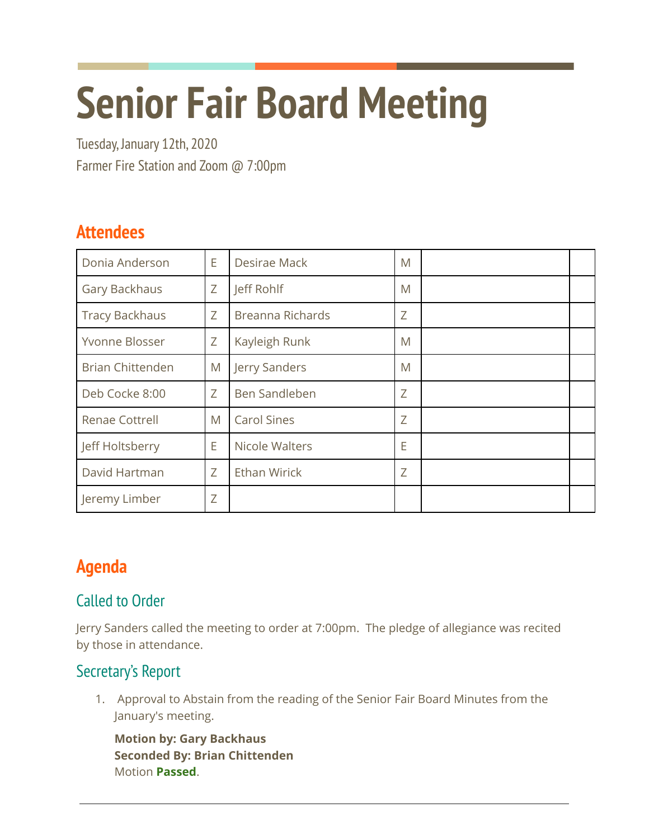# **Senior Fair Board Meeting**

Tuesday, January 12th, 2020 Farmer Fire Station and Zoom @ 7:00pm

## **Attendees**

| Donia Anderson          | E | Desirae Mack            | M |  |
|-------------------------|---|-------------------------|---|--|
| Gary Backhaus           | Ζ | Jeff Rohlf              | M |  |
| <b>Tracy Backhaus</b>   | Z | <b>Breanna Richards</b> | Ζ |  |
| Yvonne Blosser          | Ζ | Kayleigh Runk           | M |  |
| <b>Brian Chittenden</b> | M | Jerry Sanders           | M |  |
| Deb Cocke 8:00          | Z | Ben Sandleben           | Ζ |  |
| <b>Renae Cottrell</b>   | M | <b>Carol Sines</b>      | Z |  |
| Jeff Holtsberry         | E | Nicole Walters          | E |  |
| David Hartman           | Z | <b>Ethan Wirick</b>     | Ζ |  |
| Jeremy Limber           | Z |                         |   |  |

# **Agenda**

## Called to Order

Jerry Sanders called the meeting to order at 7:00pm. The pledge of allegiance was recited by those in attendance.

## Secretary's Report

1. Approval to Abstain from the reading of the Senior Fair Board Minutes from the January's meeting.

**Motion by: Gary Backhaus Seconded By: Brian Chittenden** Motion **Passed**.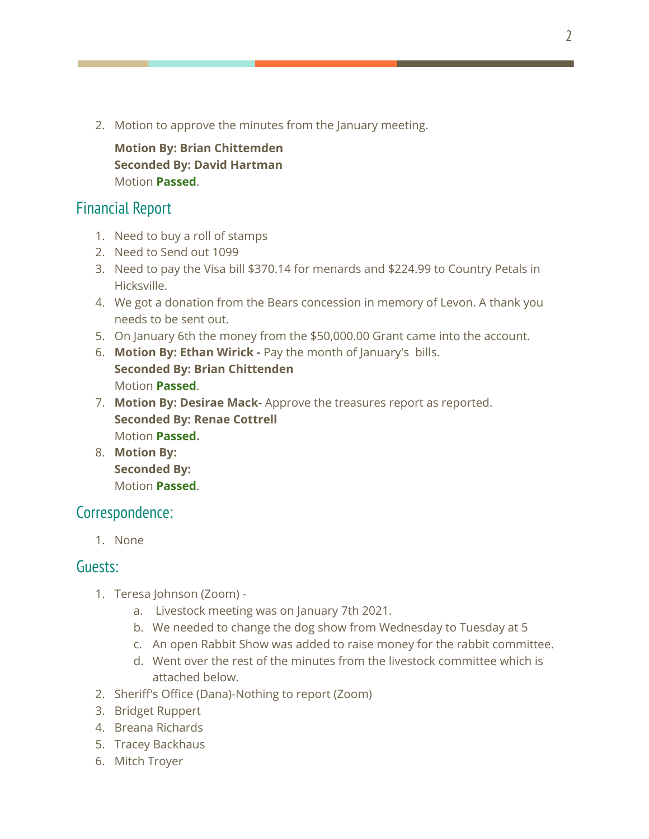2. Motion to approve the minutes from the January meeting.

**Motion By: Brian Chittemden Seconded By: David Hartman** Motion **Passed**.

#### Financial Report

- 1. Need to buy a roll of stamps
- 2. Need to Send out 1099
- 3. Need to pay the Visa bill \$370.14 for menards and \$224.99 to Country Petals in Hicksville.
- 4. We got a donation from the Bears concession in memory of Levon. A thank you needs to be sent out.
- 5. On January 6th the money from the \$50,000.00 Grant came into the account.
- 6. **Motion By: Ethan Wirick -** Pay the month of January's bills. **Seconded By: Brian Chittenden** Motion **Passed**.
- 7. **Motion By: Desirae Mack-** Approve the treasures report as reported. **Seconded By: Renae Cottrell** Motion **Passed.**
- 8. **Motion By: Seconded By:** Motion **Passed**.

### Correspondence:

1. None

#### Guests:

- 1. Teresa Johnson (Zoom)
	- a. Livestock meeting was on January 7th 2021.
	- b. We needed to change the dog show from Wednesday to Tuesday at 5
	- c. An open Rabbit Show was added to raise money for the rabbit committee.
	- d. Went over the rest of the minutes from the livestock committee which is attached below.
- 2. Sheriff's Office (Dana)-Nothing to report (Zoom)
- 3. Bridget Ruppert
- 4. Breana Richards
- 5. Tracey Backhaus
- 6. Mitch Troyer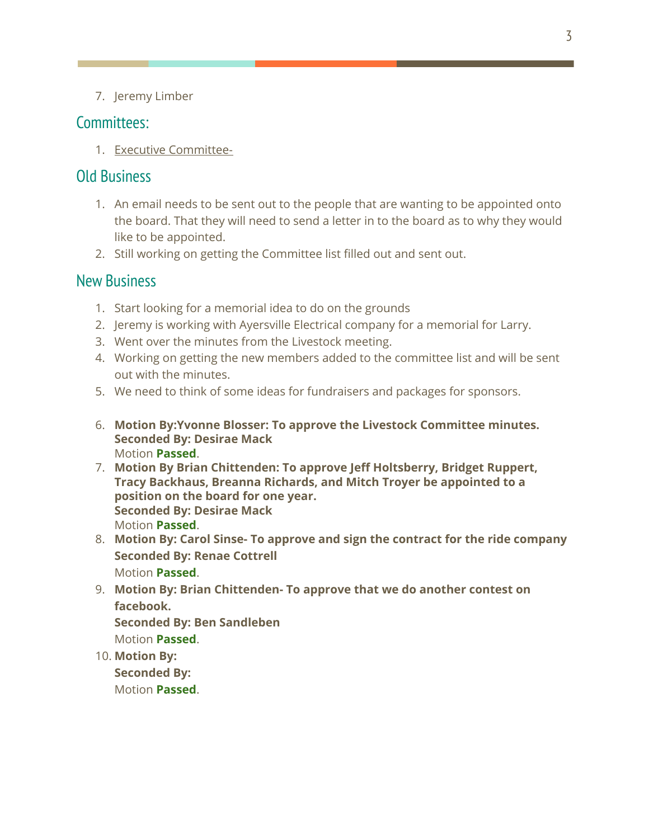7. Jeremy Limber

#### Committees:

1. Executive Committee-

#### Old Business

- 1. An email needs to be sent out to the people that are wanting to be appointed onto the board. That they will need to send a letter in to the board as to why they would like to be appointed.
- 2. Still working on getting the Committee list filled out and sent out.

#### New Business

- 1. Start looking for a memorial idea to do on the grounds
- 2. Jeremy is working with Ayersville Electrical company for a memorial for Larry.
- 3. Went over the minutes from the Livestock meeting.
- 4. Working on getting the new members added to the committee list and will be sent out with the minutes.
- 5. We need to think of some ideas for fundraisers and packages for sponsors.
- 6. **Motion By:Yvonne Blosser: To approve the Livestock Committee minutes. Seconded By: Desirae Mack** Motion **Passed**.
- 7. **Motion By Brian Chittenden: To approve Jeff Holtsberry, Bridget Ruppert, Tracy Backhaus, Breanna Richards, and Mitch Troyer be appointed to a position on the board for one year. Seconded By: Desirae Mack** Motion **Passed**.
- 8. **Motion By: Carol Sinse- To approve and sign the contract for the ride company Seconded By: Renae Cottrell** Motion **Passed**.
- 9. **Motion By: Brian Chittenden- To approve that we do another contest on facebook.**

**Seconded By: Ben Sandleben** Motion **Passed**.

10. **Motion By:**

**Seconded By:** Motion **Passed**.